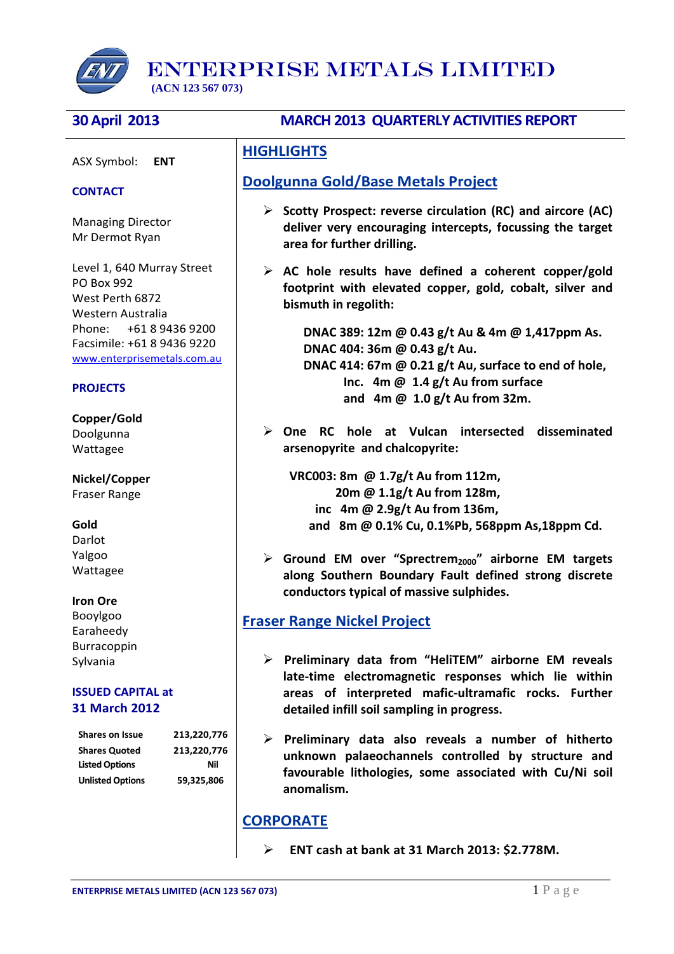

ENTERPRISE METALS LIMITED

 **(ACN 123 567 073)**

ASX Symbol: **ENT**

### **CONTACT**

Managing Director Mr Dermot Ryan

Level 1, 640 Murray Street PO Box 992 West Perth 6872 Western Australia Phone: +61 8 9436 9200 Facsimile: +61 8 9436 9220 [www.enterprisemetals.com.au](http://www.enterprisemetals.com.au/)

### **PROJECTS**

**Copper/Gold** Doolgunna Wattagee

**Nickel/Copper** Fraser Range

#### **Gold**

Darlot Yalgoo Wattagee

#### **Iron Ore**

Booylgoo Earaheedy Burracoppin Sylvania

#### **ISSUED CAPITAL at 31 March 2012**

**Shares on Issue 213,220,776 Shares Quoted 213,220,776** Listed Options **Nil Unlisted Options 59,325,806**

# **30 April 2013 MARCH 2013 QUARTERLY ACTIVITIES REPORT**

# **HIGHLIGHTS**

# **Doolgunna Gold/Base Metals Project**

- **Scotty Prospect: reverse circulation (RC) and aircore (AC) deliver very encouraging intercepts, focussing the target area for further drilling.**
- **AC hole results have defined a coherent copper/gold footprint with elevated copper, gold, cobalt, silver and bismuth in regolith:**

**DNAC 389: 12m @ 0.43 g/t Au & 4m @ 1,417ppm As. DNAC 404: 36m @ 0.43 g/t Au. DNAC 414: 67m @ 0.21 g/t Au, surface to end of hole, Inc. 4m @ 1.4 g/t Au from surface and 4m @ 1.0 g/t Au from 32m.**

 **One RC hole at Vulcan intersected disseminated arsenopyrite and chalcopyrite:** 

 **VRC003: 8m @ 1.7g/t Au from 112m, 20m @ 1.1g/t Au from 128m, inc 4m @ 2.9g/t Au from 136m, and 8m @ 0.1% Cu, 0.1%Pb, 568ppm As,18ppm Cd.**

 **Ground EM over "Sprectrem2000" airborne EM targets along Southern Boundary Fault defined strong discrete conductors typical of massive sulphides.**

# **Fraser Range Nickel Project**

- **Preliminary data from "HeliTEM" airborne EM reveals late-time electromagnetic responses which lie within areas of interpreted mafic-ultramafic rocks. Further detailed infill soil sampling in progress.**
- **Preliminary data also reveals a number of hitherto unknown palaeochannels controlled by structure and favourable lithologies, some associated with Cu/Ni soil anomalism.**

# **CORPORATE**

 **ENT cash at bank at 31 March 2013: \$2.778M.**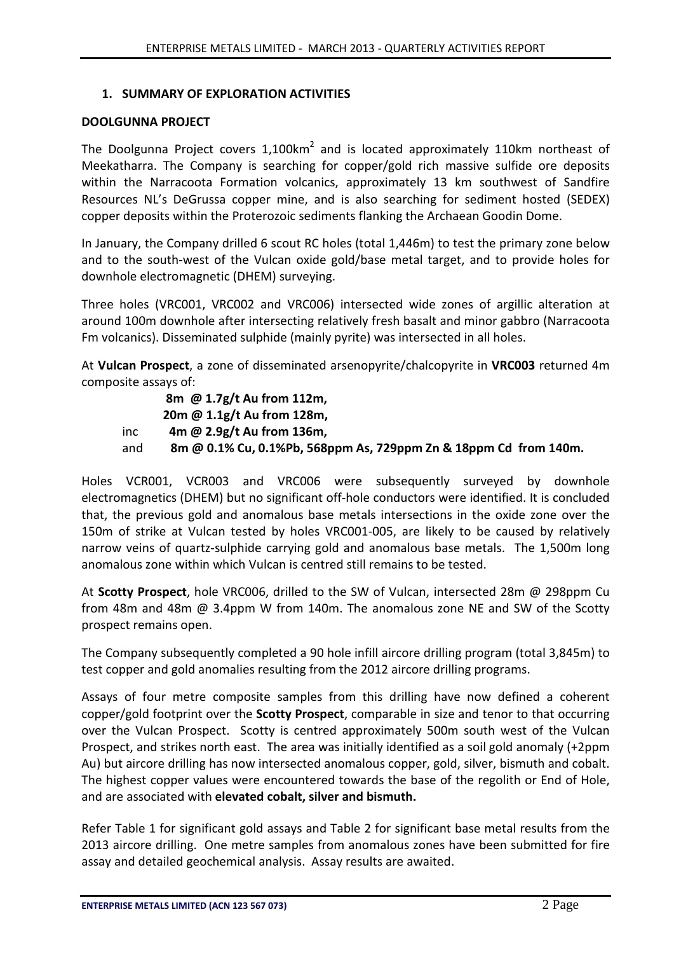## **1. SUMMARY OF EXPLORATION ACTIVITIES**

### **DOOLGUNNA PROJECT**

The Doolgunna Project covers  $1,100$ km<sup>2</sup> and is located approximately 110km northeast of Meekatharra. The Company is searching for copper/gold rich massive sulfide ore deposits within the Narracoota Formation volcanics, approximately 13 km southwest of Sandfire Resources NL's DeGrussa copper mine, and is also searching for sediment hosted (SEDEX) copper deposits within the Proterozoic sediments flanking the Archaean Goodin Dome.

In January, the Company drilled 6 scout RC holes (total 1,446m) to test the primary zone below and to the south-west of the Vulcan oxide gold/base metal target, and to provide holes for downhole electromagnetic (DHEM) surveying.

Three holes (VRC001, VRC002 and VRC006) intersected wide zones of argillic alteration at around 100m downhole after intersecting relatively fresh basalt and minor gabbro (Narracoota Fm volcanics). Disseminated sulphide (mainly pyrite) was intersected in all holes.

At **Vulcan Prospect**, a zone of disseminated arsenopyrite/chalcopyrite in **VRC003** returned 4m composite assays of:

**8m @ 1.7g/t Au from 112m, 20m @ 1.1g/t Au from 128m,**  inc **4m @ 2.9g/t Au from 136m,**  and **8m @ 0.1% Cu, 0.1%Pb, 568ppm As, 729ppm Zn & 18ppm Cd from 140m.** 

Holes VCR001, VCR003 and VRC006 were subsequently surveyed by downhole electromagnetics (DHEM) but no significant off-hole conductors were identified. It is concluded that, the previous gold and anomalous base metals intersections in the oxide zone over the 150m of strike at Vulcan tested by holes VRC001-005, are likely to be caused by relatively narrow veins of quartz-sulphide carrying gold and anomalous base metals. The 1,500m long anomalous zone within which Vulcan is centred still remains to be tested.

At **Scotty Prospect**, hole VRC006, drilled to the SW of Vulcan, intersected 28m @ 298ppm Cu from 48m and 48m @ 3.4ppm W from 140m. The anomalous zone NE and SW of the Scotty prospect remains open.

The Company subsequently completed a 90 hole infill aircore drilling program (total 3,845m) to test copper and gold anomalies resulting from the 2012 aircore drilling programs.

Assays of four metre composite samples from this drilling have now defined a coherent copper/gold footprint over the **Scotty Prospect**, comparable in size and tenor to that occurring over the Vulcan Prospect. Scotty is centred approximately 500m south west of the Vulcan Prospect, and strikes north east. The area was initially identified as a soil gold anomaly (+2ppm Au) but aircore drilling has now intersected anomalous copper, gold, silver, bismuth and cobalt. The highest copper values were encountered towards the base of the regolith or End of Hole, and are associated with **elevated cobalt, silver and bismuth.**

Refer Table 1 for significant gold assays and Table 2 for significant base metal results from the 2013 aircore drilling. One metre samples from anomalous zones have been submitted for fire assay and detailed geochemical analysis. Assay results are awaited.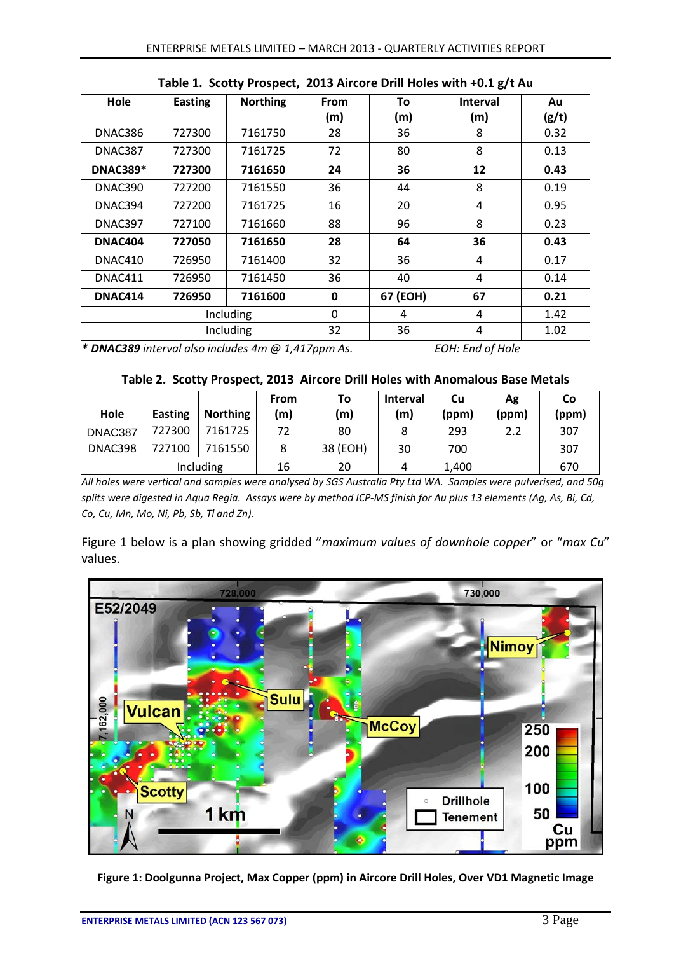| Hole            | <b>Easting</b> | <b>Northing</b> | From | To       | <b>Interval</b> | Au    |
|-----------------|----------------|-----------------|------|----------|-----------------|-------|
|                 |                |                 | (m)  | (m)      | (m)             | (g/t) |
| DNAC386         | 727300         | 7161750         | 28   | 36       | 8               | 0.32  |
| DNAC387         | 727300         | 7161725         | 72   | 80       | 8               | 0.13  |
| <b>DNAC389*</b> | 727300         | 7161650         | 24   | 36       | 12              | 0.43  |
| DNAC390         | 727200         | 7161550         | 36   | 44       | 8               | 0.19  |
| DNAC394         | 727200         | 7161725         | 16   | 20       | 4               | 0.95  |
| DNAC397         | 727100         | 7161660         | 88   | 96       | 8               | 0.23  |
| <b>DNAC404</b>  | 727050         | 7161650         | 28   | 64       | 36              | 0.43  |
| DNAC410         | 726950         | 7161400         | 32   | 36       | 4               | 0.17  |
| DNAC411         | 726950         | 7161450         | 36   | 40       | 4               | 0.14  |
| DNAC414         | 726950         | 7161600         | 0    | 67 (EOH) | 67              | 0.21  |
|                 | Including      |                 | 0    | 4        | 4               | 1.42  |
|                 | Including      |                 | 32   | 36       | $\overline{a}$  | 1.02  |

**Table 1. Scotty Prospect, 2013 Aircore Drill Holes with +0.1 g/t Au**

*\* DNAC389 interval also includes 4m @ 1,417ppm As. EOH: End of Hole*

| Hole    | <b>Easting</b> | <b>Northing</b> | From<br>(m) | To<br>(m) | <b>Interval</b><br>(m) | Cu<br>(ppm) | Ag<br>(ppm) | Co<br>(ppm) |
|---------|----------------|-----------------|-------------|-----------|------------------------|-------------|-------------|-------------|
| DNAC387 | 727300         | 7161725         | 72          | 80        |                        | 293         | 2.2         | 307         |
| DNAC398 | 727100         | 7161550         |             | 38 (EOH)  | 30                     | 700         |             | 307         |
|         | Including      |                 | 16          | 20        | 4                      | 1,400       |             | 670         |

*All holes were vertical and samples were analysed by SGS Australia Pty Ltd WA. Samples were pulverised, and 50g splits were digested in Aqua Regia. Assays were by method ICP-MS finish for Au plus 13 elements (Ag, As, Bi, Cd, Co, Cu, Mn, Mo, Ni, Pb, Sb, Tl and Zn).*

Figure 1 below is a plan showing gridded "*maximum values of downhole copper*" or "*max Cu*" values.



**Figure 1: Doolgunna Project, Max Copper (ppm) in Aircore Drill Holes, Over VD1 Magnetic Image**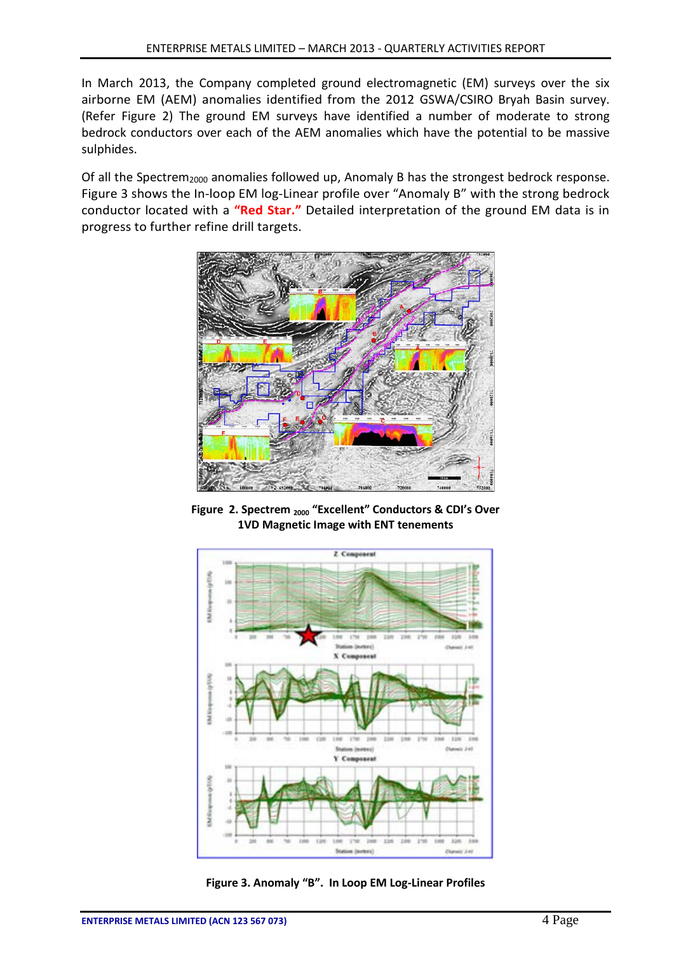In March 2013, the Company completed ground electromagnetic (EM) surveys over the six airborne EM (AEM) anomalies identified from the 2012 GSWA/CSIRO Bryah Basin survey. (Refer Figure 2) The ground EM surveys have identified a number of moderate to strong bedrock conductors over each of the AEM anomalies which have the potential to be massive sulphides.

Of all the Spectrem<sub>2000</sub> anomalies followed up, Anomaly B has the strongest bedrock response. Figure 3 shows the In-loop EM log-Linear profile over "Anomaly B" with the strong bedrock conductor located with a **"Red Star."** Detailed interpretation of the ground EM data is in progress to further refine drill targets.



**Figure 2. Spectrem 2000 "Excellent" Conductors & CDI's Over 1VD Magnetic Image with ENT tenements**



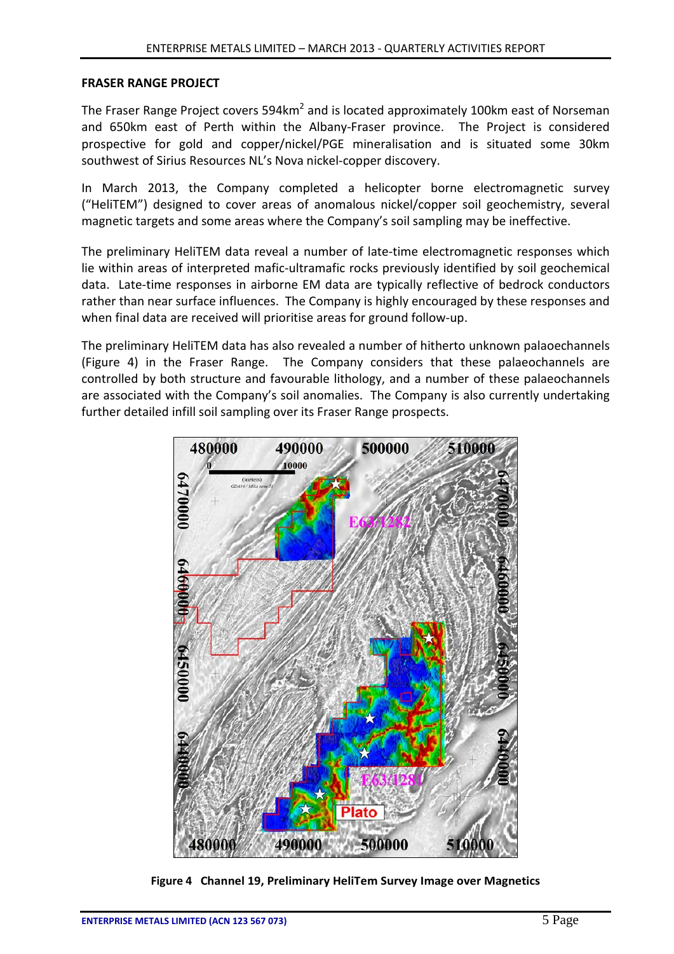### **FRASER RANGE PROJECT**

The Fraser Range Project covers 594km<sup>2</sup> and is located approximately 100km east of Norseman and 650km east of Perth within the Albany-Fraser province. The Project is considered prospective for gold and copper/nickel/PGE mineralisation and is situated some 30km southwest of Sirius Resources NL's Nova nickel-copper discovery.

In March 2013, the Company completed a helicopter borne electromagnetic survey ("HeliTEM") designed to cover areas of anomalous nickel/copper soil geochemistry, several magnetic targets and some areas where the Company's soil sampling may be ineffective.

The preliminary HeliTEM data reveal a number of late-time electromagnetic responses which lie within areas of interpreted mafic-ultramafic rocks previously identified by soil geochemical data. Late-time responses in airborne EM data are typically reflective of bedrock conductors rather than near surface influences. The Company is highly encouraged by these responses and when final data are received will prioritise areas for ground follow-up.

The preliminary HeliTEM data has also revealed a number of hitherto unknown palaoechannels (Figure 4) in the Fraser Range. The Company considers that these palaeochannels are controlled by both structure and favourable lithology, and a number of these palaeochannels are associated with the Company's soil anomalies. The Company is also currently undertaking further detailed infill soil sampling over its Fraser Range prospects.



**Figure 4 Channel 19, Preliminary HeliTem Survey Image over Magnetics**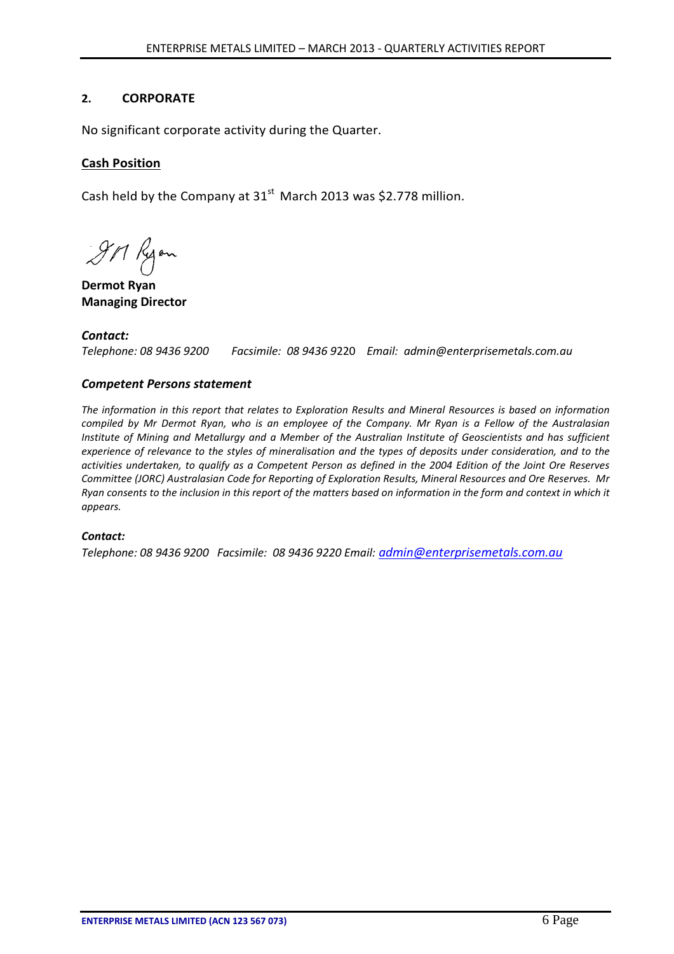# **2. CORPORATE**

No significant corporate activity during the Quarter.

# **Cash Position**

Cash held by the Company at  $31<sup>st</sup>$  March 2013 was \$2.778 million.

9M Ryon

**Dermot Ryan Managing Director**

*Contact: Telephone: 08 9436 9200 Facsimile: 08 9436 9*220 *Email: admin@enterprisemetals.com.au*

# *Competent Persons statement*

*The information in this report that relates to Exploration Results and Mineral Resources is based on information compiled by Mr Dermot Ryan, who is an employee of the Company. Mr Ryan is a Fellow of the Australasian Institute of Mining and Metallurgy and a Member of the Australian Institute of Geoscientists and has sufficient experience of relevance to the styles of mineralisation and the types of deposits under consideration, and to the activities undertaken, to qualify as a Competent Person as defined in the 2004 Edition of the Joint Ore Reserves Committee (JORC) Australasian Code for Reporting of Exploration Results, Mineral Resources and Ore Reserves. Mr Ryan consents to the inclusion in this report of the matters based on information in the form and context in which it appears.*

### *Contact:*

*Telephone: 08 9436 9200 Facsimile: 08 9436 9220 Email: [admin@enterprisemetals.com.au](mailto:admin@enterprisemetals.com.au)*